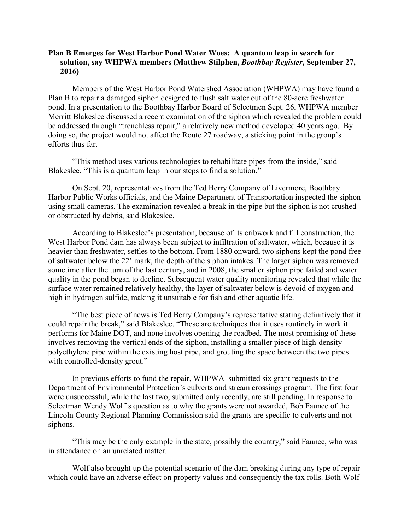## **Plan B Emerges for West Harbor Pond Water Woes: A quantum leap in search for solution, say WHPWA members (Matthew Stilphen,** *Boothbay Register***, September 27, 2016)**

Members of the West Harbor Pond Watershed Association (WHPWA) may have found a Plan B to repair a damaged siphon designed to flush salt water out of the 80-acre freshwater pond. In a presentation to the Boothbay Harbor Board of Selectmen Sept. 26, WHPWA member Merritt Blakeslee discussed a recent examination of the siphon which revealed the problem could be addressed through "trenchless repair," a relatively new method developed 40 years ago. By doing so, the project would not affect the Route 27 roadway, a sticking point in the group's efforts thus far.

"This method uses various technologies to rehabilitate pipes from the inside," said Blakeslee. "This is a quantum leap in our steps to find a solution."

On Sept. 20, representatives from the Ted Berry Company of Livermore, Boothbay Harbor Public Works officials, and the Maine Department of Transportation inspected the siphon using small cameras. The examination revealed a break in the pipe but the siphon is not crushed or obstructed by debris, said Blakeslee.

According to Blakeslee's presentation, because of its cribwork and fill construction, the West Harbor Pond dam has always been subject to infiltration of saltwater, which, because it is heavier than freshwater, settles to the bottom. From 1880 onward, two siphons kept the pond free of saltwater below the 22' mark, the depth of the siphon intakes. The larger siphon was removed sometime after the turn of the last century, and in 2008, the smaller siphon pipe failed and water quality in the pond began to decline. Subsequent water quality monitoring revealed that while the surface water remained relatively healthy, the layer of saltwater below is devoid of oxygen and high in hydrogen sulfide, making it unsuitable for fish and other aquatic life.

"The best piece of news is Ted Berry Company's representative stating definitively that it could repair the break," said Blakeslee. "These are techniques that it uses routinely in work it performs for Maine DOT, and none involves opening the roadbed. The most promising of these involves removing the vertical ends of the siphon, installing a smaller piece of high-density polyethylene pipe within the existing host pipe, and grouting the space between the two pipes with controlled-density grout."

In previous efforts to fund the repair, WHPWA submitted six grant requests to the Department of Environmental Protection's culverts and stream crossings program. The first four were unsuccessful, while the last two, submitted only recently, are still pending. In response to Selectman Wendy Wolf's question as to why the grants were not awarded, Bob Faunce of the Lincoln County Regional Planning Commission said the grants are specific to culverts and not siphons.

"This may be the only example in the state, possibly the country," said Faunce, who was in attendance on an unrelated matter.

Wolf also brought up the potential scenario of the dam breaking during any type of repair which could have an adverse effect on property values and consequently the tax rolls. Both Wolf